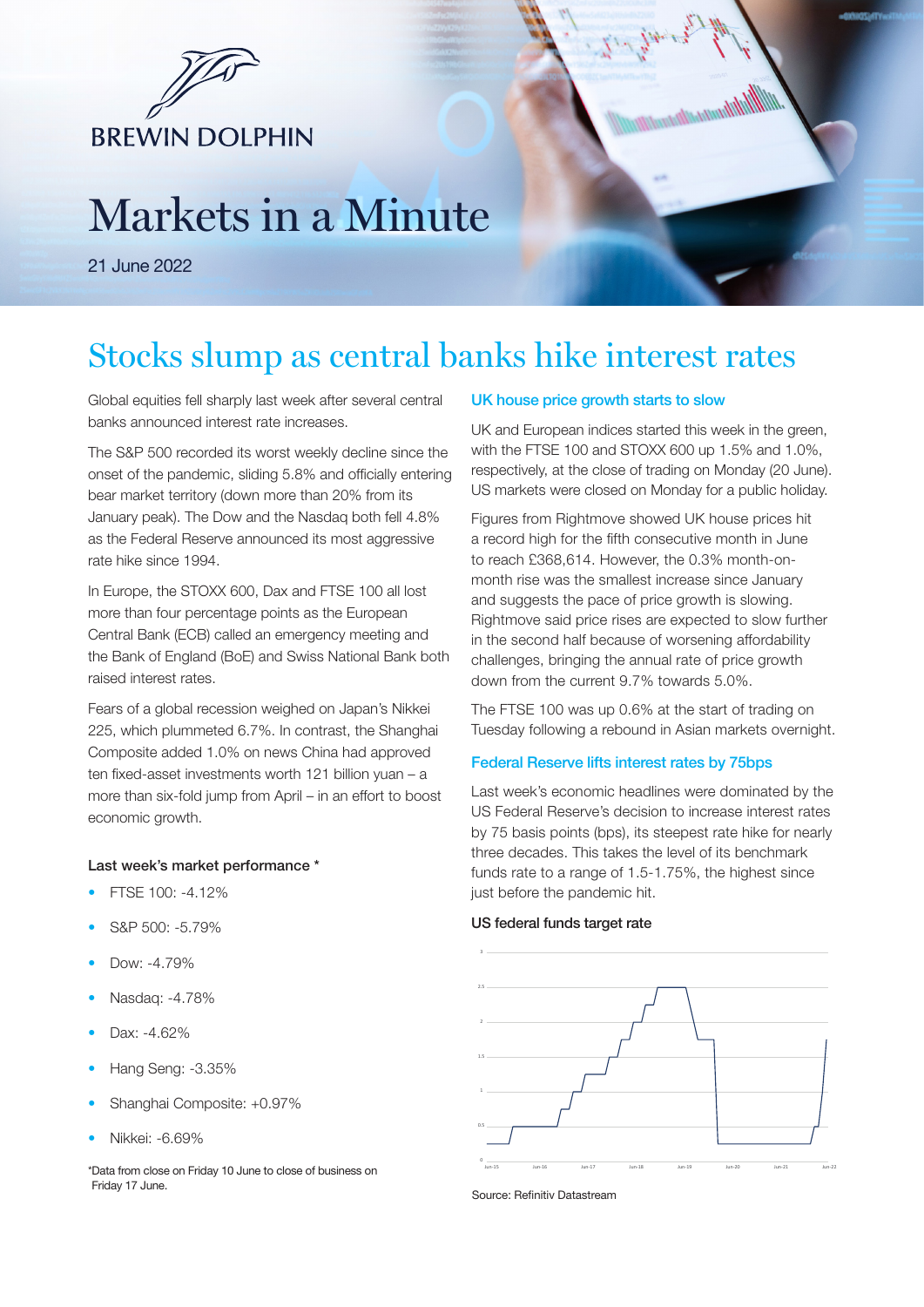

# Markets in a Minute

21 June 2022

# Stocks slump as central banks hike interest rates

Global equities fell sharply last week after several central banks announced interest rate increases.

The S&P 500 recorded its worst weekly decline since the onset of the pandemic, sliding 5.8% and officially entering bear market territory (down more than 20% from its January peak). The Dow and the Nasdaq both fell 4.8% as the Federal Reserve announced its most aggressive rate hike since 1994.

In Europe, the STOXX 600, Dax and FTSE 100 all lost more than four percentage points as the European Central Bank (ECB) called an emergency meeting and the Bank of England (BoE) and Swiss National Bank both raised interest rates.

Fears of a global recession weighed on Japan's Nikkei 225, which plummeted 6.7%. In contrast, the Shanghai Composite added 1.0% on news China had approved ten fixed-asset investments worth 121 billion yuan – a more than six-fold jump from April – in an effort to boost economic growth.

# Last week's market performance \*

- FTSE 100: -4.12%
- S&P 500: -5.79%
- Dow: -4.79%
- Nasdaq: -4.78%
- Dax: -4.62%
- Hang Seng: -3.35%
- Shanghai Composite: +0.97%
- Nikkei: -6.69%

\*Data from close on Friday 10 June to close of business on Friday 17 June.

# UK house price growth starts to slow

UK and European indices started this week in the green, with the FTSE 100 and STOXX 600 up 1.5% and 1.0%, respectively, at the close of trading on Monday (20 June). US markets were closed on Monday for a public holiday.

Figures from Rightmove showed UK house prices hit a record high for the fifth consecutive month in June to reach £368,614. However, the 0.3% month-onmonth rise was the smallest increase since January and suggests the pace of price growth is slowing. Rightmove said price rises are expected to slow further in the second half because of worsening affordability challenges, bringing the annual rate of price growth down from the current 9.7% towards 5.0%.

The FTSE 100 was up 0.6% at the start of trading on Tuesday following a rebound in Asian markets overnight.

#### Federal Reserve lifts interest rates by 75bps

Last week's economic headlines were dominated by the US Federal Reserve's decision to increase interest rates by 75 basis points (bps), its steepest rate hike for nearly three decades. This takes the level of its benchmark funds rate to a range of 1.5-1.75%, the highest since just before the pandemic hit.

# US federal funds target rate



Source: Refinitiv Datastream